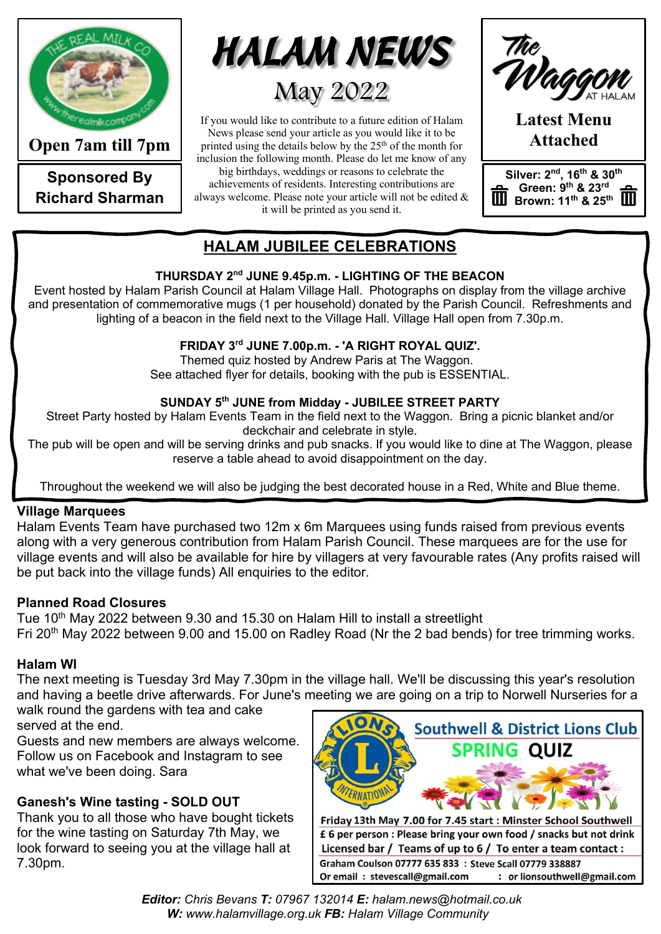

**Open 7am till 7pm**

**Sponsored By Richard Sharman**



If you would like to contribute to a future edition of Halam News please send your article as you would like it to be printed using the details below by the  $25<sup>th</sup>$  of the month for inclusion the following month. Please do let me know of any big birthdays, weddings or reasons to celebrate the

achievements of residents. Interesting contributions are always welcome. Please note your article will not be edited & it will be printed as you send it.

**Latest Menu Attached**

**Silver: 2nd, 16th & 30th Green: 9th & 23rd Brown:** 11<sup>th</sup> & 25<sup>th</sup>

## **HALAM JUBILEE CELEBRATIONS**

#### **THURSDAY 2nd JUNE 9.45p.m. - LIGHTING OF THE BEACON**

Event hosted by Halam Parish Council at Halam Village Hall. Photographs on display from the village archive and presentation of commemorative mugs (1 per household) donated by the Parish Council. Refreshments and lighting of a beacon in the field next to the Village Hall. Village Hall open from 7.30p.m.

#### **FRIDAY 3rd JUNE 7.00p.m. - 'A RIGHT ROYAL QUIZ'.**

Themed quiz hosted by Andrew Paris at The Waggon. See attached flyer for details, booking with the pub is ESSENTIAL.

#### **SUNDAY 5th JUNE from Midday - JUBILEE STREET PARTY**

Street Party hosted by Halam Events Team in the field next to the Waggon. Bring a picnic blanket and/or deckchair and celebrate in style.

The pub will be open and will be serving drinks and pub snacks. If you would like to dine at The Waggon, please reserve a table ahead to avoid disappointment on the day.

Throughout the weekend we will also be judging the best decorated house in a Red, White and Blue theme.

## **Village Marquees**

Halam Events Team have purchased two 12m x 6m Marquees using funds raised from previous events along with a very generous contribution from Halam Parish Council. These marquees are for the use for village events and will also be available for hire by villagers at very favourable rates (Any profits raised will be put back into the village funds) All enquiries to the editor.

#### **Planned Road Closures**

Tue 10<sup>th</sup> May 2022 between 9.30 and 15.30 on Halam Hill to install a streetlight Fri 20th May 2022 between 9.00 and 15.00 on Radley Road (Nr the 2 bad bends) for tree trimming works.

## **Halam WI**

The next meeting is Tuesday 3rd May 7.30pm in the village hall. We'll be discussing this year's resolution and having a beetle drive afterwards. For June's meeting we are going on a trip to Norwell Nurseries for a walk round the gardens with tea and cake

served at the end.

Guests and new members are always welcome. Follow us on Facebook and Instagram to see what we've been doing. Sara

## **Ganesh's Wine tasting - SOLD OUT**

Thank you to all those who have bought tickets for the wine tasting on Saturday 7th May, we look forward to seeing you at the village hall at 7.30pm.

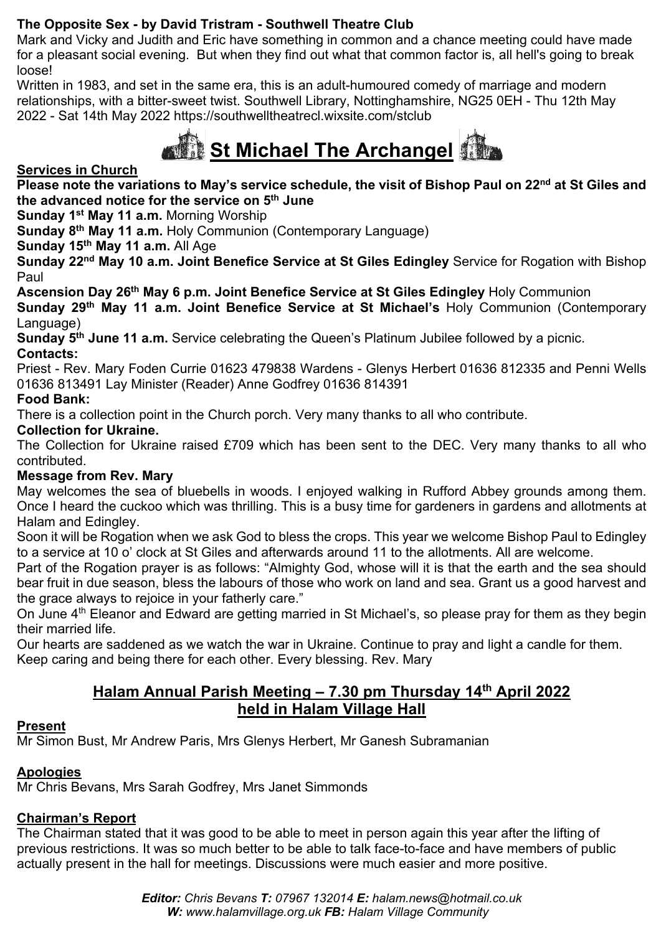## **The Opposite Sex - by David Tristram - Southwell Theatre Club**

Mark and Vicky and Judith and Eric have something in common and a chance meeting could have made for a pleasant social evening. But when they find out what that common factor is, all hell's going to break loose!

Written in 1983, and set in the same era, this is an adult-humoured comedy of marriage and modern relationships, with a bitter-sweet twist. Southwell Library, Nottinghamshire, NG25 0EH - Thu 12th May 2022 - Sat 14th May 2022 https://southwelltheatrecl.wixsite.com/stclub



**Services in Church** 

**Please note the variations to May's service schedule, the visit of Bishop Paul on 22nd at St Giles and the advanced notice for the service on 5th June**

**Sunday 1st May 11 a.m.** Morning Worship

**Sunday 8th May 11 a.m.** Holy Communion (Contemporary Language)

**Sunday 15th May 11 a.m.** All Age

**Sunday 22nd May 10 a.m. Joint Benefice Service at St Giles Edingley** Service for Rogation with Bishop Paul

**Ascension Day 26th May 6 p.m. Joint Benefice Service at St Giles Edingley** Holy Communion

**Sunday 29th May 11 a.m. Joint Benefice Service at St Michael's** Holy Communion (Contemporary Language)

**Sunday 5th June 11 a.m.** Service celebrating the Queen's Platinum Jubilee followed by a picnic. **Contacts:**

Priest - Rev. Mary Foden Currie 01623 479838 Wardens - Glenys Herbert 01636 812335 and Penni Wells 01636 813491 Lay Minister (Reader) Anne Godfrey 01636 814391

## **Food Bank:**

There is a collection point in the Church porch. Very many thanks to all who contribute.

#### **Collection for Ukraine.**

The Collection for Ukraine raised £709 which has been sent to the DEC. Very many thanks to all who contributed.

#### **Message from Rev. Mary**

May welcomes the sea of bluebells in woods. I enjoyed walking in Rufford Abbey grounds among them. Once I heard the cuckoo which was thrilling. This is a busy time for gardeners in gardens and allotments at Halam and Edingley.

Soon it will be Rogation when we ask God to bless the crops. This year we welcome Bishop Paul to Edingley to a service at 10 o' clock at St Giles and afterwards around 11 to the allotments. All are welcome.

Part of the Rogation prayer is as follows: "Almighty God, whose will it is that the earth and the sea should bear fruit in due season, bless the labours of those who work on land and sea. Grant us a good harvest and the grace always to rejoice in your fatherly care."

On June 4<sup>th</sup> Eleanor and Edward are getting married in St Michael's, so please pray for them as they begin their married life.

Our hearts are saddened as we watch the war in Ukraine. Continue to pray and light a candle for them. Keep caring and being there for each other. Every blessing. Rev. Mary

## **Halam Annual Parish Meeting – 7.30 pm Thursday 14th April 2022 held in Halam Village Hall**

#### **Present**

Mr Simon Bust, Mr Andrew Paris, Mrs Glenys Herbert, Mr Ganesh Subramanian

## **Apologies**

Mr Chris Bevans, Mrs Sarah Godfrey, Mrs Janet Simmonds

## **Chairman's Report**

The Chairman stated that it was good to be able to meet in person again this year after the lifting of previous restrictions. It was so much better to be able to talk face-to-face and have members of public actually present in the hall for meetings. Discussions were much easier and more positive.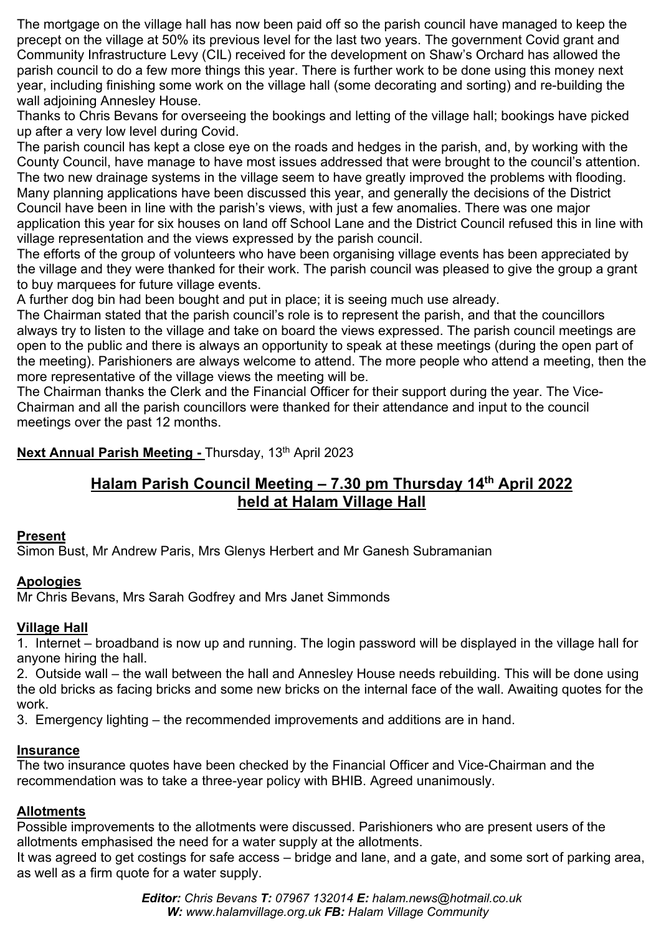The mortgage on the village hall has now been paid off so the parish council have managed to keep the precept on the village at 50% its previous level for the last two years. The government Covid grant and Community Infrastructure Levy (CIL) received for the development on Shaw's Orchard has allowed the parish council to do a few more things this year. There is further work to be done using this money next year, including finishing some work on the village hall (some decorating and sorting) and re-building the wall adjoining Annesley House.

Thanks to Chris Bevans for overseeing the bookings and letting of the village hall; bookings have picked up after a very low level during Covid.

The parish council has kept a close eye on the roads and hedges in the parish, and, by working with the County Council, have manage to have most issues addressed that were brought to the council's attention. The two new drainage systems in the village seem to have greatly improved the problems with flooding. Many planning applications have been discussed this year, and generally the decisions of the District Council have been in line with the parish's views, with just a few anomalies. There was one major application this year for six houses on land off School Lane and the District Council refused this in line with village representation and the views expressed by the parish council.

The efforts of the group of volunteers who have been organising village events has been appreciated by the village and they were thanked for their work. The parish council was pleased to give the group a grant to buy marquees for future village events.

A further dog bin had been bought and put in place; it is seeing much use already.

The Chairman stated that the parish council's role is to represent the parish, and that the councillors always try to listen to the village and take on board the views expressed. The parish council meetings are open to the public and there is always an opportunity to speak at these meetings (during the open part of the meeting). Parishioners are always welcome to attend. The more people who attend a meeting, then the more representative of the village views the meeting will be.

The Chairman thanks the Clerk and the Financial Officer for their support during the year. The Vice-Chairman and all the parish councillors were thanked for their attendance and input to the council meetings over the past 12 months.

## **Next Annual Parish Meeting - Thursday, 13th April 2023**

## **Halam Parish Council Meeting – 7.30 pm Thursday 14th April 2022 held at Halam Village Hall**

#### **Present**

Simon Bust, Mr Andrew Paris, Mrs Glenys Herbert and Mr Ganesh Subramanian

#### **Apologies**

Mr Chris Bevans, Mrs Sarah Godfrey and Mrs Janet Simmonds

#### **Village Hall**

1. Internet – broadband is now up and running. The login password will be displayed in the village hall for anyone hiring the hall.

2. Outside wall – the wall between the hall and Annesley House needs rebuilding. This will be done using the old bricks as facing bricks and some new bricks on the internal face of the wall. Awaiting quotes for the work.

3. Emergency lighting – the recommended improvements and additions are in hand.

#### **Insurance**

The two insurance quotes have been checked by the Financial Officer and Vice-Chairman and the recommendation was to take a three-year policy with BHIB. Agreed unanimously.

#### **Allotments**

Possible improvements to the allotments were discussed. Parishioners who are present users of the allotments emphasised the need for a water supply at the allotments.

It was agreed to get costings for safe access – bridge and lane, and a gate, and some sort of parking area, as well as a firm quote for a water supply.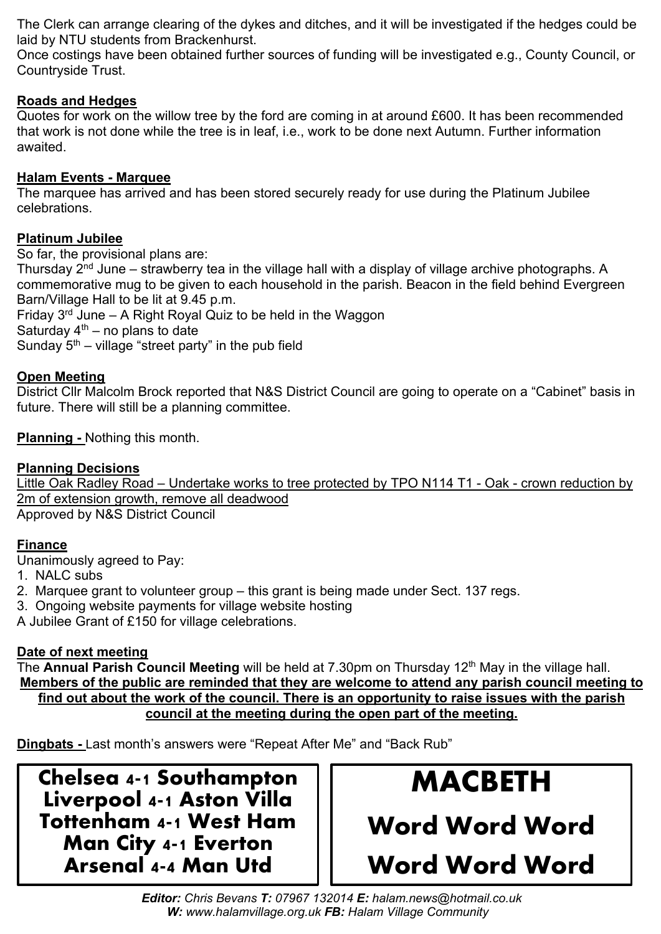The Clerk can arrange clearing of the dykes and ditches, and it will be investigated if the hedges could be laid by NTU students from Brackenhurst.

Once costings have been obtained further sources of funding will be investigated e.g., County Council, or Countryside Trust.

#### **Roads and Hedges**

Quotes for work on the willow tree by the ford are coming in at around £600. It has been recommended that work is not done while the tree is in leaf, i.e., work to be done next Autumn. Further information awaited.

#### **Halam Events - Marquee**

The marquee has arrived and has been stored securely ready for use during the Platinum Jubilee celebrations.

#### **Platinum Jubilee**

So far, the provisional plans are:

Thursday  $2<sup>nd</sup>$  June – strawberry tea in the village hall with a display of village archive photographs. A commemorative mug to be given to each household in the parish. Beacon in the field behind Evergreen Barn/Village Hall to be lit at 9.45 p.m.

Friday  $3^{rd}$  June – A Right Royal Quiz to be held in the Waggon

Saturday  $4<sup>th</sup>$  – no plans to date

Sunday  $5<sup>th</sup>$  – village "street party" in the pub field

#### **Open Meeting**

District Cllr Malcolm Brock reported that N&S District Council are going to operate on a "Cabinet" basis in future. There will still be a planning committee.

#### **Planning -** Nothing this month.

#### **Planning Decisions**

Little Oak Radley Road - Undertake works to tree protected by TPO N114 T1 - Oak - crown reduction by 2m of extension growth, remove all deadwood Approved by N&S District Council

#### **Finance**

Unanimously agreed to Pay:

1. NALC subs

- 2. Marquee grant to volunteer group this grant is being made under Sect. 137 regs.
- 3. Ongoing website payments for village website hosting

A Jubilee Grant of £150 for village celebrations.

#### **Date of next meeting**

The **Annual Parish Council Meeting** will be held at 7.30pm on Thursday 12th May in the village hall. **Members of the public are reminded that they are welcome to attend any parish council meeting to find out about the work of the council. There is an opportunity to raise issues with the parish council at the meeting during the open part of the meeting.**

**Dingbats -** Last month's answers were "Repeat After Me" and "Back Rub"

**Chelsea 4-1 Southampton Liverpool 4-1 Aston Villa Tottenham 4-1 West Ham Man City 4-1 Everton Arsenal 4-4 Man Utd**

# **MACBETH Word Word Word Word Word Word**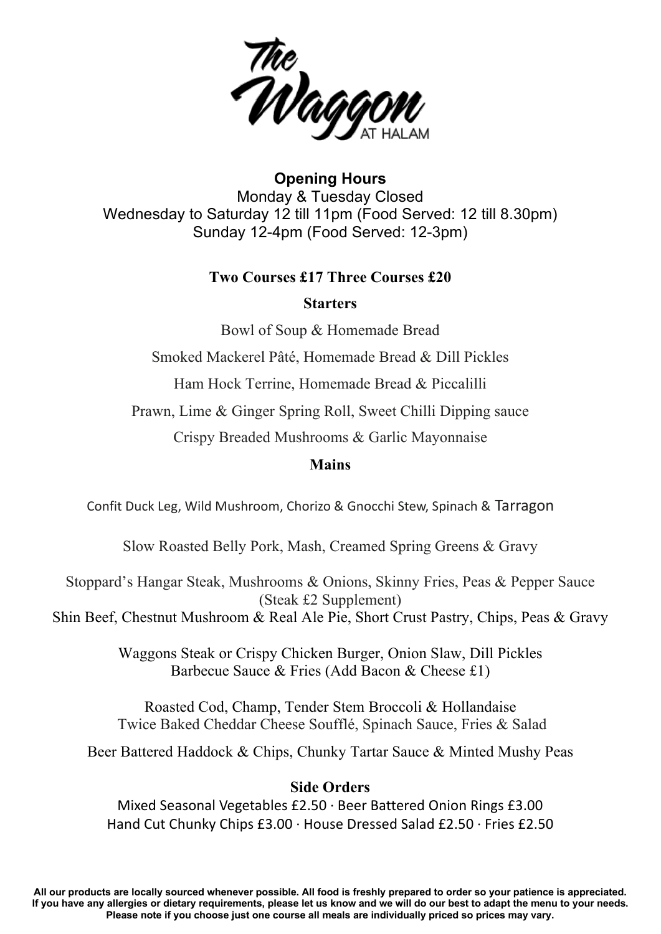

**Opening Hours** Monday & Tuesday Closed Wednesday to Saturday 12 till 11pm (Food Served: 12 till 8.30pm) Sunday 12-4pm (Food Served: 12-3pm)

#### **Two Courses £17 Three Courses £20**

#### **Starters**

Bowl of Soup & Homemade Bread

Smoked Mackerel Pâté, Homemade Bread & Dill Pickles

Ham Hock Terrine, Homemade Bread & Piccalilli

Prawn, Lime & Ginger Spring Roll, Sweet Chilli Dipping sauce

Crispy Breaded Mushrooms & Garlic Mayonnaise

#### **Mains**

Confit Duck Leg, Wild Mushroom, Chorizo & Gnocchi Stew, Spinach & Tarragon

Slow Roasted Belly Pork, Mash, Creamed Spring Greens & Gravy

Stoppard's Hangar Steak, Mushrooms & Onions, Skinny Fries, Peas & Pepper Sauce (Steak £2 Supplement)

Shin Beef, Chestnut Mushroom & Real Ale Pie, Short Crust Pastry, Chips, Peas & Gravy

Waggons Steak or Crispy Chicken Burger, Onion Slaw, Dill Pickles Barbecue Sauce & Fries (Add Bacon & Cheese £1)

Roasted Cod, Champ, Tender Stem Broccoli & Hollandaise Twice Baked Cheddar Cheese Soufflé, Spinach Sauce, Fries & Salad

Beer Battered Haddock & Chips, Chunky Tartar Sauce & Minted Mushy Peas

#### **Side Orders**

Mixed Seasonal Vegetables £2.50 · Beer Battered Onion Rings £3.00 Hand Cut Chunky Chips £3.00 · House Dressed Salad £2.50 · Fries £2.50